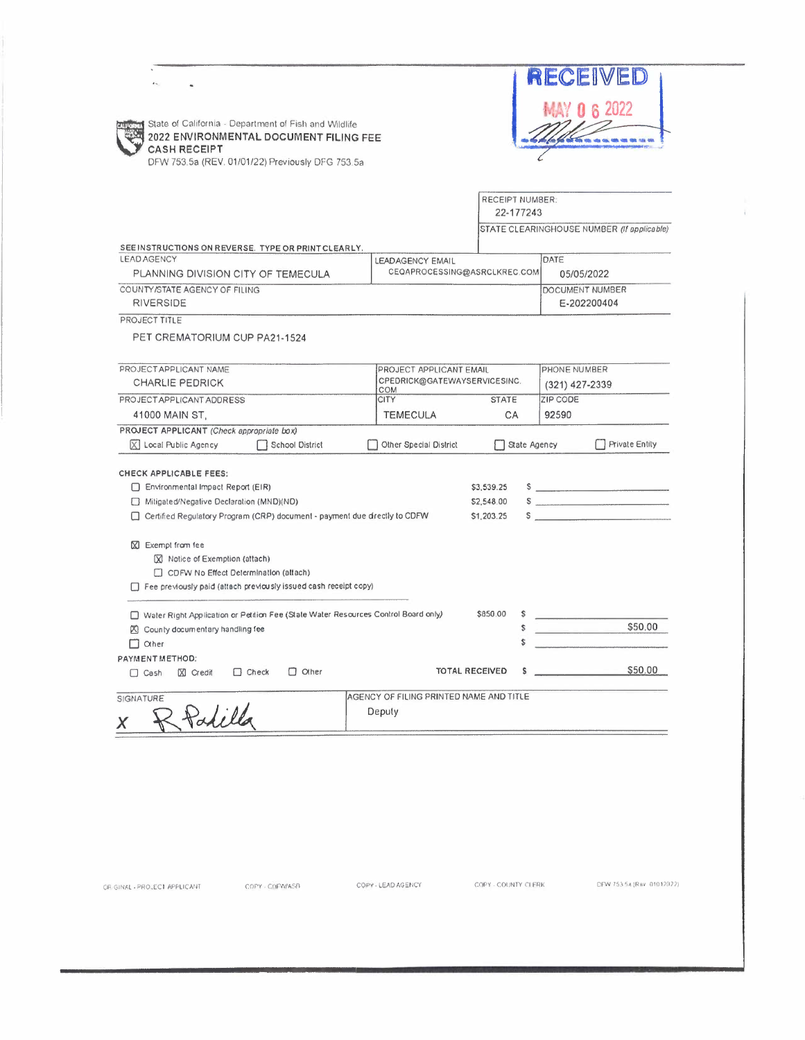|                                                                                                                         | RECEIVED                                                                                                                                                                                                                                                                                                                                                                                                                                                                   |
|-------------------------------------------------------------------------------------------------------------------------|----------------------------------------------------------------------------------------------------------------------------------------------------------------------------------------------------------------------------------------------------------------------------------------------------------------------------------------------------------------------------------------------------------------------------------------------------------------------------|
|                                                                                                                         | <b>MAY 0 6 2022</b>                                                                                                                                                                                                                                                                                                                                                                                                                                                        |
| State of California - Department of Fish and Wildlife                                                                   |                                                                                                                                                                                                                                                                                                                                                                                                                                                                            |
| 2022 ENVIRONMENTAL DOCUMENT FILING FEE<br><b>CASH RECEIPT</b>                                                           |                                                                                                                                                                                                                                                                                                                                                                                                                                                                            |
| DFW 753.5a (REV. 01/01/22) Previously DFG 753.5a                                                                        |                                                                                                                                                                                                                                                                                                                                                                                                                                                                            |
|                                                                                                                         |                                                                                                                                                                                                                                                                                                                                                                                                                                                                            |
|                                                                                                                         | RECEIPT NUMBER:                                                                                                                                                                                                                                                                                                                                                                                                                                                            |
|                                                                                                                         | 22-177243<br>STATE CLEARINGHOUSE NUMBER (If applicable)                                                                                                                                                                                                                                                                                                                                                                                                                    |
| SEE INSTRUCTIONS ON REVERSE. TYPE OR PRINT CLEARLY.                                                                     |                                                                                                                                                                                                                                                                                                                                                                                                                                                                            |
| <b>LEAD AGENCY</b>                                                                                                      | DATE<br><b>LEADAGENCY EMAIL</b>                                                                                                                                                                                                                                                                                                                                                                                                                                            |
| PLANNING DIVISION CITY OF TEMECULA                                                                                      | CEQAPROCESSING@ASRCLKREC.COM<br>05/05/2022                                                                                                                                                                                                                                                                                                                                                                                                                                 |
| COUNTY/STATE AGENCY OF FILING<br><b>RIVERSIDE</b>                                                                       | DOCUMENT NUMBER<br>E-202200404                                                                                                                                                                                                                                                                                                                                                                                                                                             |
| PROJECT TITLE                                                                                                           |                                                                                                                                                                                                                                                                                                                                                                                                                                                                            |
| PET CREMATORIUM CUP PA21-1524                                                                                           |                                                                                                                                                                                                                                                                                                                                                                                                                                                                            |
|                                                                                                                         |                                                                                                                                                                                                                                                                                                                                                                                                                                                                            |
| PROJECT APPLICANT NAME                                                                                                  | PHONE NUMBER<br>PROJECT APPLICANT EMAIL                                                                                                                                                                                                                                                                                                                                                                                                                                    |
| <b>CHARLIE PEDRICK</b><br>COM                                                                                           | CPEDRICK@GATEWAYSERVICESINC.<br>(321) 427-2339                                                                                                                                                                                                                                                                                                                                                                                                                             |
| PROJECT APPLICANT ADDRESS<br><b>CITY</b><br>41000 MAIN ST,                                                              | <b>ZIP CODE</b><br><b>STATE</b><br>92590<br><b>TEMECULA</b><br>СA                                                                                                                                                                                                                                                                                                                                                                                                          |
| PROJECT APPLICANT (Check appropriate box)                                                                               |                                                                                                                                                                                                                                                                                                                                                                                                                                                                            |
| X Local Public Agency<br>School District                                                                                |                                                                                                                                                                                                                                                                                                                                                                                                                                                                            |
|                                                                                                                         | <b>Private Entity</b><br>Other Special District<br>State Agency                                                                                                                                                                                                                                                                                                                                                                                                            |
|                                                                                                                         |                                                                                                                                                                                                                                                                                                                                                                                                                                                                            |
| CHECK APPLICABLE FEES:                                                                                                  |                                                                                                                                                                                                                                                                                                                                                                                                                                                                            |
| Environmental Impact Report (EIR)                                                                                       | \$3,539.25                                                                                                                                                                                                                                                                                                                                                                                                                                                                 |
| Mitigated/Negative Declaration (MND)(ND)<br>Certified Regulatory Program (CRP) document - payment due directly to CDFW  | \$2,548.00<br>\$1,203.25<br>$\mathsf{S}$                                                                                                                                                                                                                                                                                                                                                                                                                                   |
|                                                                                                                         |                                                                                                                                                                                                                                                                                                                                                                                                                                                                            |
| X Exempt from fee                                                                                                       |                                                                                                                                                                                                                                                                                                                                                                                                                                                                            |
| X Notice of Exemption (attach)<br>CDFW No Effect Determination (attach)                                                 |                                                                                                                                                                                                                                                                                                                                                                                                                                                                            |
| Fee previously paid (attach previously issued cash receipt copy)                                                        |                                                                                                                                                                                                                                                                                                                                                                                                                                                                            |
|                                                                                                                         |                                                                                                                                                                                                                                                                                                                                                                                                                                                                            |
| Water Right Application or Petition Fee (State Water Resources Control Board only)<br>冈 County documentary handling fee | \$850.00<br>S<br>\$                                                                                                                                                                                                                                                                                                                                                                                                                                                        |
| $\Box$ $\Box$ $\Diamond$                                                                                                | \$50.00                                                                                                                                                                                                                                                                                                                                                                                                                                                                    |
| PAYMENT METHOD:                                                                                                         | S<br>$S$ $\overline{\phantom{a}}$ $\overline{\phantom{a}}$ $\overline{\phantom{a}}$ $\overline{\phantom{a}}$ $\overline{\phantom{a}}$ $\overline{\phantom{a}}$ $\overline{\phantom{a}}$ $\overline{\phantom{a}}$ $\overline{\phantom{a}}$ $\overline{\phantom{a}}$ $\overline{\phantom{a}}$ $\overline{\phantom{a}}$ $\overline{\phantom{a}}$ $\overline{\phantom{a}}$ $\overline{\phantom{a}}$ $\overline{\phantom{a}}$ $\overline{\phantom{a}}$ $\overline{\phantom{a}}$ |
| $\Box$ Other<br>$C$ heck<br>$[2]$ Credit<br>$\Box$ Cash                                                                 | <b>TOTAL RECEIVED</b><br>s                                                                                                                                                                                                                                                                                                                                                                                                                                                 |
| SIGNATURE                                                                                                               | AGENCY OF FILING PRINTED NAME AND TITLE                                                                                                                                                                                                                                                                                                                                                                                                                                    |
| Patilla<br>Deputy                                                                                                       | \$50.00                                                                                                                                                                                                                                                                                                                                                                                                                                                                    |

CFW 753.5a (Rev. 010.12022)